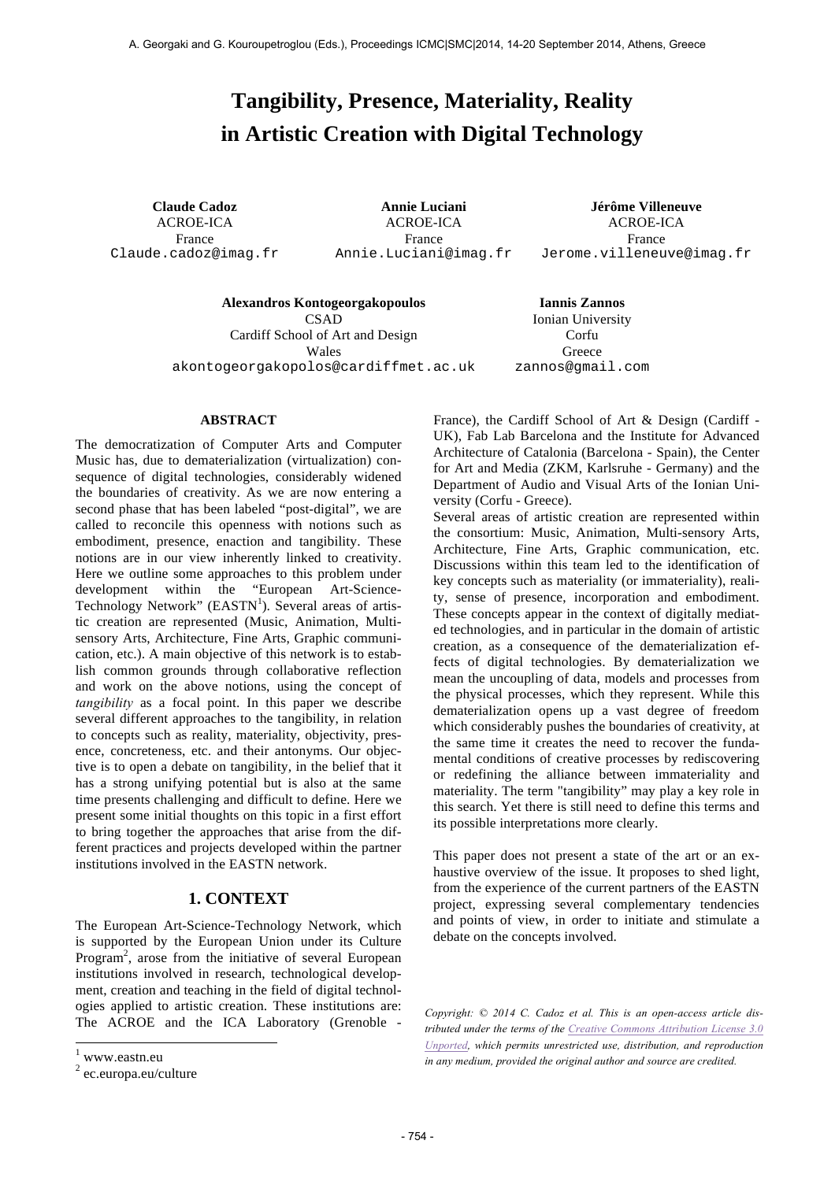# **Tangibility, Presence, Materiality, Reality in Artistic Creation with Digital Technology**

ACROE-ICA France Claude.cadoz@imag.fr

ACROE-ICA France Annie.Luciani@imag.fr

**Claude Cadoz Annie Luciani Jérôme Villeneuve** ACROE-ICA France Jerome.villeneuve@imag.fr

**Alexandros Kontogeorgakopoulos Iannis Zannos** CSAD

Cardiff School of Art and Design Wales akontogeorgakopolos@cardiffmet.ac.uk

Ionian University Corfu Greece zannos@gmail.com

## **ABSTRACT**

The democratization of Computer Arts and Computer Music has, due to dematerialization (virtualization) consequence of digital technologies, considerably widened the boundaries of creativity. As we are now entering a second phase that has been labeled "post-digital", we are called to reconcile this openness with notions such as embodiment, presence, enaction and tangibility. These notions are in our view inherently linked to creativity. Here we outline some approaches to this problem under development within the "European Art-Science-Technology Network" (EASTN<sup>1</sup>). Several areas of artistic creation are represented (Music, Animation, Multisensory Arts, Architecture, Fine Arts, Graphic communication, etc.). A main objective of this network is to establish common grounds through collaborative reflection and work on the above notions, using the concept of *tangibility* as a focal point. In this paper we describe several different approaches to the tangibility, in relation to concepts such as reality, materiality, objectivity, presence, concreteness, etc. and their antonyms. Our objective is to open a debate on tangibility, in the belief that it has a strong unifying potential but is also at the same time presents challenging and difficult to define. Here we present some initial thoughts on this topic in a first effort to bring together the approaches that arise from the different practices and projects developed within the partner institutions involved in the EASTN network.

# **1. CONTEXT**

The European Art-Science-Technology Network, which is supported by the European Union under its Culture Program<sup>2</sup>, arose from the initiative of several European institutions involved in research, technological development, creation and teaching in the field of digital technologies applied to artistic creation. These institutions are: The ACROE and the ICA Laboratory (Grenoble -

 $\overline{\phantom{a}}$ 

France), the Cardiff School of Art & Design (Cardiff - UK), Fab Lab Barcelona and the Institute for Advanced Architecture of Catalonia (Barcelona - Spain), the Center for Art and Media (ZKM, Karlsruhe - Germany) and the Department of Audio and Visual Arts of the Ionian University (Corfu - Greece).

Several areas of artistic creation are represented within the consortium: Music, Animation, Multi-sensory Arts, Architecture, Fine Arts, Graphic communication, etc. Discussions within this team led to the identification of key concepts such as materiality (or immateriality), reality, sense of presence, incorporation and embodiment. These concepts appear in the context of digitally mediated technologies, and in particular in the domain of artistic creation, as a consequence of the dematerialization effects of digital technologies. By dematerialization we mean the uncoupling of data, models and processes from the physical processes, which they represent. While this dematerialization opens up a vast degree of freedom which considerably pushes the boundaries of creativity, at the same time it creates the need to recover the fundamental conditions of creative processes by rediscovering or redefining the alliance between immateriality and materiality. The term "tangibility" may play a key role in this search. Yet there is still need to define this terms and its possible interpretations more clearly.

This paper does not present a state of the art or an exhaustive overview of the issue. It proposes to shed light, from the experience of the current partners of the EASTN project, expressing several complementary tendencies and points of view, in order to initiate and stimulate a debate on the concepts involved.

*Copyright: © 2014 C. Cadoz et al. This is an open-access article distributed under the terms of the Creative Commons Attribution License 3.0 Unported, which permits unrestricted use, distribution, and reproduction in any medium, provided the original author and source are credited.*

 $1$  www.eastn.eu

<sup>2</sup> ec.europa.eu/culture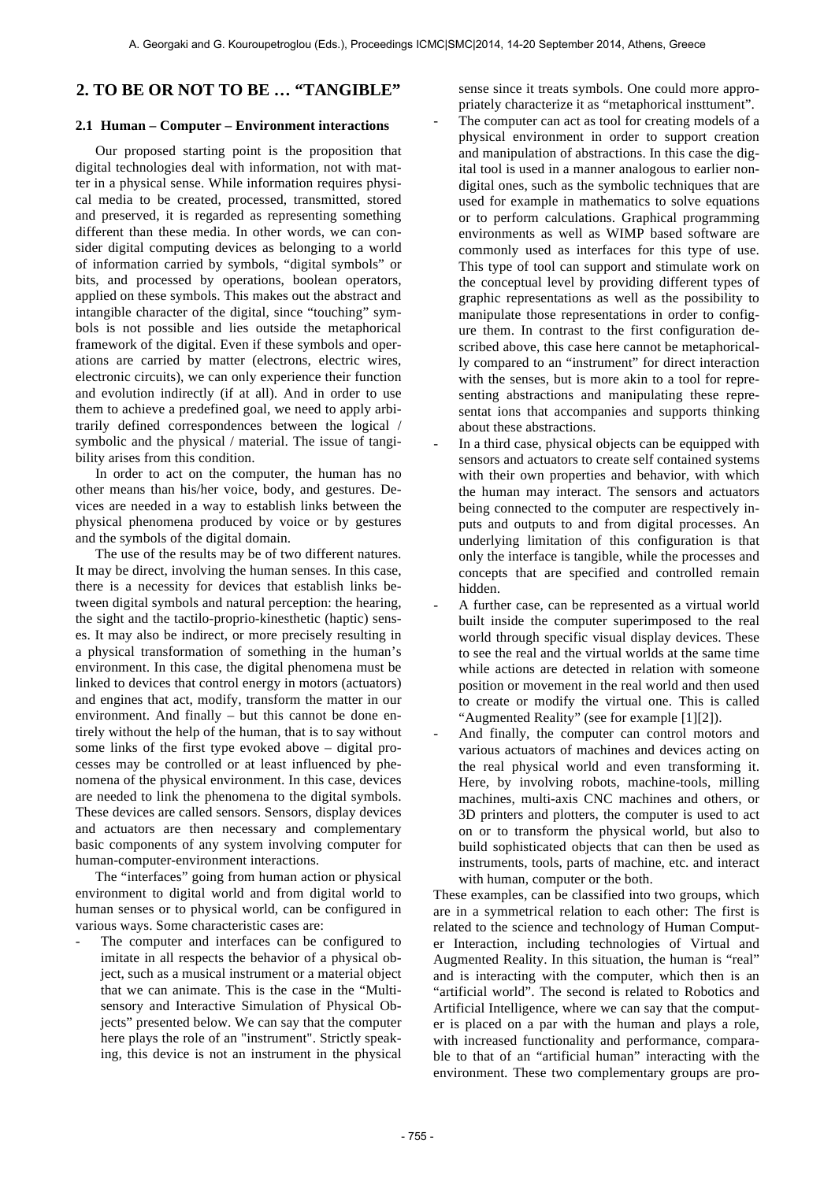# **2. TO BE OR NOT TO BE … "TANGIBLE"**

#### **2.1 Human – Computer – Environment interactions**

Our proposed starting point is the proposition that digital technologies deal with information, not with matter in a physical sense. While information requires physical media to be created, processed, transmitted, stored and preserved, it is regarded as representing something different than these media. In other words, we can consider digital computing devices as belonging to a world of information carried by symbols, "digital symbols" or bits, and processed by operations, boolean operators, applied on these symbols. This makes out the abstract and intangible character of the digital, since "touching" symbols is not possible and lies outside the metaphorical framework of the digital. Even if these symbols and operations are carried by matter (electrons, electric wires, electronic circuits), we can only experience their function and evolution indirectly (if at all). And in order to use them to achieve a predefined goal, we need to apply arbitrarily defined correspondences between the logical / symbolic and the physical / material. The issue of tangibility arises from this condition.

In order to act on the computer, the human has no other means than his/her voice, body, and gestures. Devices are needed in a way to establish links between the physical phenomena produced by voice or by gestures and the symbols of the digital domain.

The use of the results may be of two different natures. It may be direct, involving the human senses. In this case, there is a necessity for devices that establish links between digital symbols and natural perception: the hearing, the sight and the tactilo-proprio-kinesthetic (haptic) senses. It may also be indirect, or more precisely resulting in a physical transformation of something in the human's environment. In this case, the digital phenomena must be linked to devices that control energy in motors (actuators) and engines that act, modify, transform the matter in our environment. And finally – but this cannot be done entirely without the help of the human, that is to say without some links of the first type evoked above – digital processes may be controlled or at least influenced by phenomena of the physical environment. In this case, devices are needed to link the phenomena to the digital symbols. These devices are called sensors. Sensors, display devices and actuators are then necessary and complementary basic components of any system involving computer for human-computer-environment interactions.

The "interfaces" going from human action or physical environment to digital world and from digital world to human senses or to physical world, can be configured in various ways. Some characteristic cases are:

The computer and interfaces can be configured to imitate in all respects the behavior of a physical object, such as a musical instrument or a material object that we can animate. This is the case in the "Multisensory and Interactive Simulation of Physical Objects" presented below. We can say that the computer here plays the role of an "instrument". Strictly speaking, this device is not an instrument in the physical sense since it treats symbols. One could more appropriately characterize it as "metaphorical insttument".

- The computer can act as tool for creating models of a physical environment in order to support creation and manipulation of abstractions. In this case the digital tool is used in a manner analogous to earlier nondigital ones, such as the symbolic techniques that are used for example in mathematics to solve equations or to perform calculations. Graphical programming environments as well as WIMP based software are commonly used as interfaces for this type of use. This type of tool can support and stimulate work on the conceptual level by providing different types of graphic representations as well as the possibility to manipulate those representations in order to configure them. In contrast to the first configuration described above, this case here cannot be metaphorically compared to an "instrument" for direct interaction with the senses, but is more akin to a tool for representing abstractions and manipulating these representat ions that accompanies and supports thinking about these abstractions.
- In a third case, physical objects can be equipped with sensors and actuators to create self contained systems with their own properties and behavior, with which the human may interact. The sensors and actuators being connected to the computer are respectively inputs and outputs to and from digital processes. An underlying limitation of this configuration is that only the interface is tangible, while the processes and concepts that are specified and controlled remain hidden.
- A further case, can be represented as a virtual world built inside the computer superimposed to the real world through specific visual display devices. These to see the real and the virtual worlds at the same time while actions are detected in relation with someone position or movement in the real world and then used to create or modify the virtual one. This is called "Augmented Reality" (see for example [1][2]).
- And finally, the computer can control motors and various actuators of machines and devices acting on the real physical world and even transforming it. Here, by involving robots, machine-tools, milling machines, multi-axis CNC machines and others, or 3D printers and plotters, the computer is used to act on or to transform the physical world, but also to build sophisticated objects that can then be used as instruments, tools, parts of machine, etc. and interact with human, computer or the both.

These examples, can be classified into two groups, which are in a symmetrical relation to each other: The first is related to the science and technology of Human Computer Interaction, including technologies of Virtual and Augmented Reality. In this situation, the human is "real" and is interacting with the computer, which then is an "artificial world". The second is related to Robotics and Artificial Intelligence, where we can say that the computer is placed on a par with the human and plays a role, with increased functionality and performance, comparable to that of an "artificial human" interacting with the environment. These two complementary groups are pro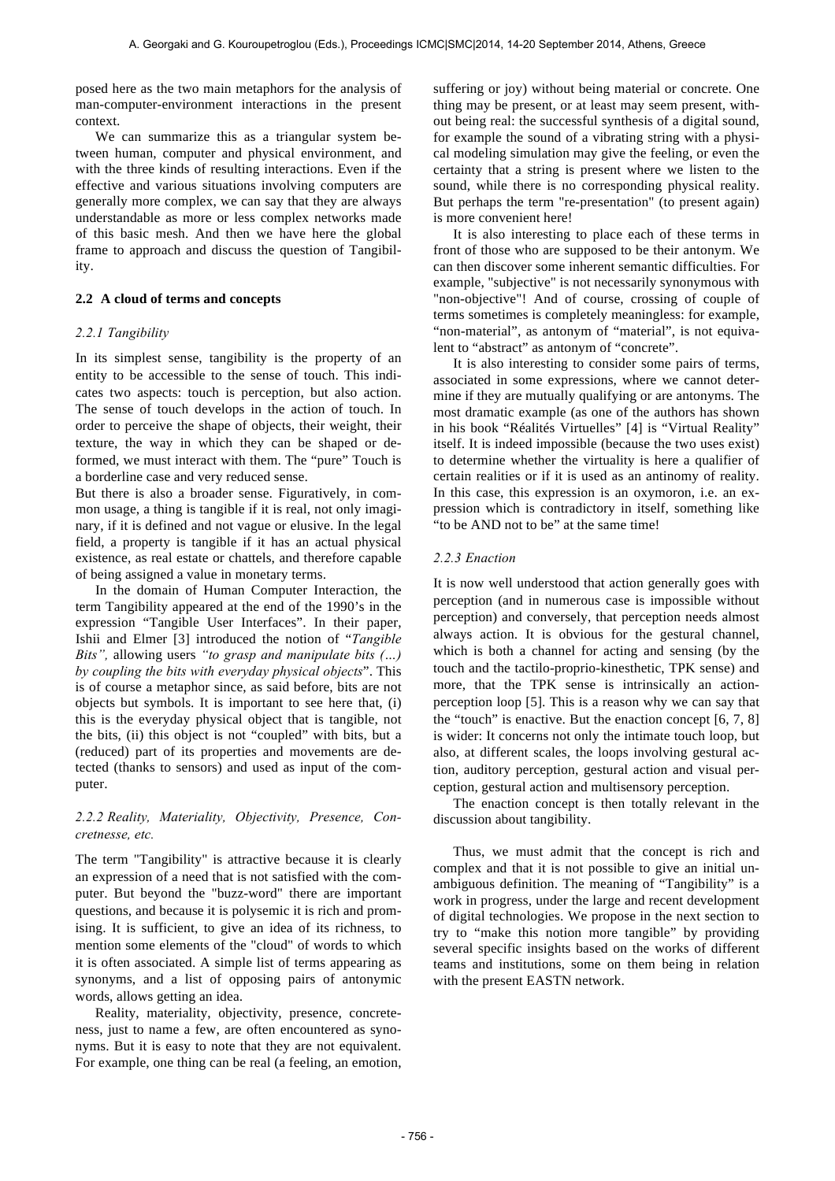posed here as the two main metaphors for the analysis of man-computer-environment interactions in the present context.

We can summarize this as a triangular system between human, computer and physical environment, and with the three kinds of resulting interactions. Even if the effective and various situations involving computers are generally more complex, we can say that they are always understandable as more or less complex networks made of this basic mesh. And then we have here the global frame to approach and discuss the question of Tangibility.

## **2.2 A cloud of terms and concepts**

#### *2.2.1 Tangibility*

In its simplest sense, tangibility is the property of an entity to be accessible to the sense of touch. This indicates two aspects: touch is perception, but also action. The sense of touch develops in the action of touch. In order to perceive the shape of objects, their weight, their texture, the way in which they can be shaped or deformed, we must interact with them. The "pure" Touch is a borderline case and very reduced sense.

But there is also a broader sense. Figuratively, in common usage, a thing is tangible if it is real, not only imaginary, if it is defined and not vague or elusive. In the legal field, a property is tangible if it has an actual physical existence, as real estate or chattels, and therefore capable of being assigned a value in monetary terms.

In the domain of Human Computer Interaction, the term Tangibility appeared at the end of the 1990's in the expression "Tangible User Interfaces". In their paper, Ishii and Elmer [3] introduced the notion of "*Tangible Bits",* allowing users *"to grasp and manipulate bits (…) by coupling the bits with everyday physical objects*". This is of course a metaphor since, as said before, bits are not objects but symbols. It is important to see here that, (i) this is the everyday physical object that is tangible, not the bits, (ii) this object is not "coupled" with bits, but a (reduced) part of its properties and movements are detected (thanks to sensors) and used as input of the computer.

## *2.2.2 Reality, Materiality, Objectivity, Presence, Concretnesse, etc.*

The term "Tangibility" is attractive because it is clearly an expression of a need that is not satisfied with the computer. But beyond the "buzz-word" there are important questions, and because it is polysemic it is rich and promising. It is sufficient, to give an idea of its richness, to mention some elements of the "cloud" of words to which it is often associated. A simple list of terms appearing as synonyms, and a list of opposing pairs of antonymic words, allows getting an idea.

Reality, materiality, objectivity, presence, concreteness, just to name a few, are often encountered as synonyms. But it is easy to note that they are not equivalent. For example, one thing can be real (a feeling, an emotion, suffering or joy) without being material or concrete. One thing may be present, or at least may seem present, without being real: the successful synthesis of a digital sound, for example the sound of a vibrating string with a physical modeling simulation may give the feeling, or even the certainty that a string is present where we listen to the sound, while there is no corresponding physical reality. But perhaps the term "re-presentation" (to present again) is more convenient here!

It is also interesting to place each of these terms in front of those who are supposed to be their antonym. We can then discover some inherent semantic difficulties. For example, "subjective" is not necessarily synonymous with "non-objective"! And of course, crossing of couple of terms sometimes is completely meaningless: for example, "non-material", as antonym of "material", is not equivalent to "abstract" as antonym of "concrete".

It is also interesting to consider some pairs of terms, associated in some expressions, where we cannot determine if they are mutually qualifying or are antonyms. The most dramatic example (as one of the authors has shown in his book "Réalités Virtuelles" [4] is "Virtual Reality" itself. It is indeed impossible (because the two uses exist) to determine whether the virtuality is here a qualifier of certain realities or if it is used as an antinomy of reality. In this case, this expression is an oxymoron, i.e. an expression which is contradictory in itself, something like "to be AND not to be" at the same time!

#### *2.2.3 Enaction*

It is now well understood that action generally goes with perception (and in numerous case is impossible without perception) and conversely, that perception needs almost always action. It is obvious for the gestural channel, which is both a channel for acting and sensing (by the touch and the tactilo-proprio-kinesthetic, TPK sense) and more, that the TPK sense is intrinsically an actionperception loop [5]. This is a reason why we can say that the "touch" is enactive. But the enaction concept [6, 7, 8] is wider: It concerns not only the intimate touch loop, but also, at different scales, the loops involving gestural action, auditory perception, gestural action and visual perception, gestural action and multisensory perception.

The enaction concept is then totally relevant in the discussion about tangibility.

Thus, we must admit that the concept is rich and complex and that it is not possible to give an initial unambiguous definition. The meaning of "Tangibility" is a work in progress, under the large and recent development of digital technologies. We propose in the next section to try to "make this notion more tangible" by providing several specific insights based on the works of different teams and institutions, some on them being in relation with the present EASTN network.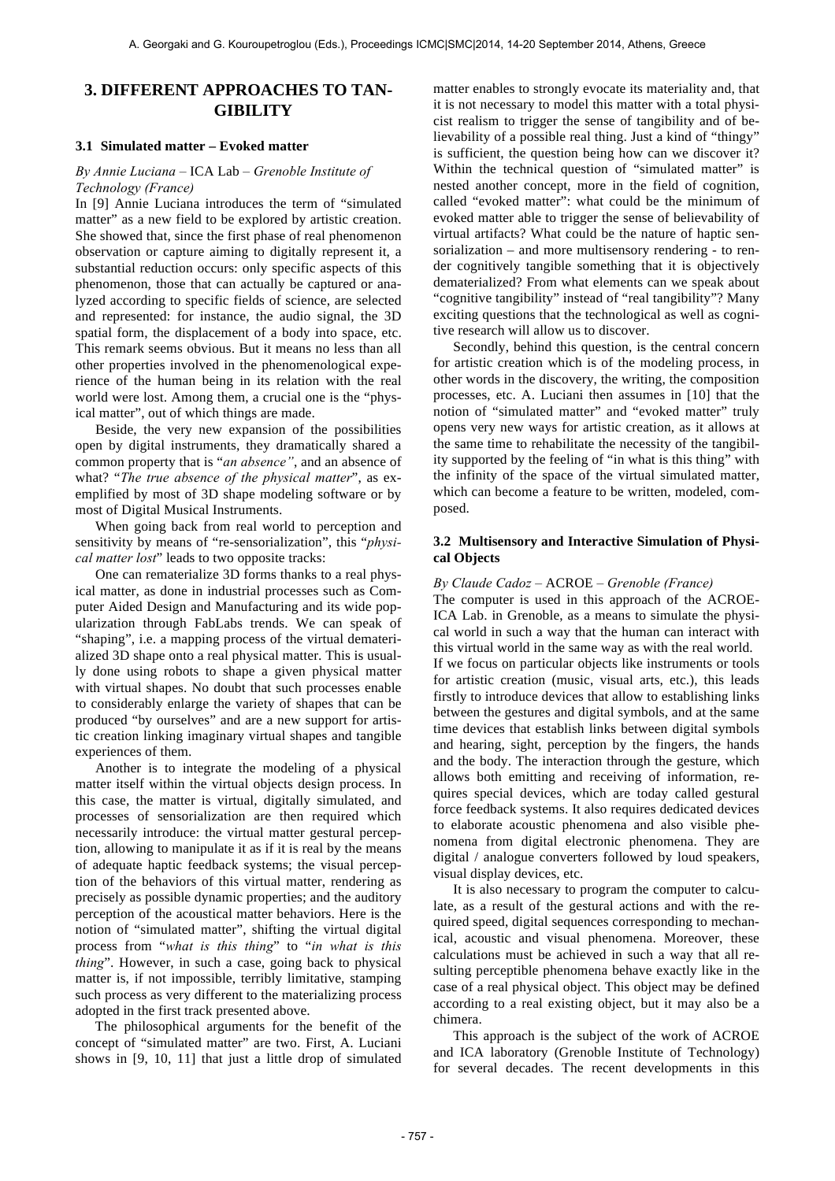# **3. DIFFERENT APPROACHES TO TAN-GIBILITY**

## **3.1 Simulated matter – Evoked matter**

#### *By Annie Luciana –* ICA Lab *– Grenoble Institute of Technology (France)*

In [9] Annie Luciana introduces the term of "simulated matter" as a new field to be explored by artistic creation. She showed that, since the first phase of real phenomenon observation or capture aiming to digitally represent it, a substantial reduction occurs: only specific aspects of this phenomenon, those that can actually be captured or analyzed according to specific fields of science, are selected and represented: for instance, the audio signal, the 3D spatial form, the displacement of a body into space, etc. This remark seems obvious. But it means no less than all other properties involved in the phenomenological experience of the human being in its relation with the real world were lost. Among them, a crucial one is the "physical matter", out of which things are made.

Beside, the very new expansion of the possibilities open by digital instruments, they dramatically shared a common property that is "*an absence"*, and an absence of what? "*The true absence of the physical matter*", as exemplified by most of 3D shape modeling software or by most of Digital Musical Instruments.

When going back from real world to perception and sensitivity by means of "re-sensorialization", this "*physical matter lost*" leads to two opposite tracks:

One can rematerialize 3D forms thanks to a real physical matter, as done in industrial processes such as Computer Aided Design and Manufacturing and its wide popularization through FabLabs trends. We can speak of "shaping", i.e. a mapping process of the virtual dematerialized 3D shape onto a real physical matter. This is usually done using robots to shape a given physical matter with virtual shapes. No doubt that such processes enable to considerably enlarge the variety of shapes that can be produced "by ourselves" and are a new support for artistic creation linking imaginary virtual shapes and tangible experiences of them.

Another is to integrate the modeling of a physical matter itself within the virtual objects design process. In this case, the matter is virtual, digitally simulated, and processes of sensorialization are then required which necessarily introduce: the virtual matter gestural perception, allowing to manipulate it as if it is real by the means of adequate haptic feedback systems; the visual perception of the behaviors of this virtual matter, rendering as precisely as possible dynamic properties; and the auditory perception of the acoustical matter behaviors. Here is the notion of "simulated matter", shifting the virtual digital process from "*what is this thing*" to "*in what is this thing*". However, in such a case, going back to physical matter is, if not impossible, terribly limitative, stamping such process as very different to the materializing process adopted in the first track presented above.

The philosophical arguments for the benefit of the concept of "simulated matter" are two. First, A. Luciani shows in [9, 10, 11] that just a little drop of simulated

matter enables to strongly evocate its materiality and, that it is not necessary to model this matter with a total physicist realism to trigger the sense of tangibility and of believability of a possible real thing. Just a kind of "thingy" is sufficient, the question being how can we discover it? Within the technical question of "simulated matter" is nested another concept, more in the field of cognition, called "evoked matter": what could be the minimum of evoked matter able to trigger the sense of believability of virtual artifacts? What could be the nature of haptic sensorialization – and more multisensory rendering - to render cognitively tangible something that it is objectively dematerialized? From what elements can we speak about "cognitive tangibility" instead of "real tangibility"? Many exciting questions that the technological as well as cognitive research will allow us to discover.

Secondly, behind this question, is the central concern for artistic creation which is of the modeling process, in other words in the discovery, the writing, the composition processes, etc. A. Luciani then assumes in [10] that the notion of "simulated matter" and "evoked matter" truly opens very new ways for artistic creation, as it allows at the same time to rehabilitate the necessity of the tangibility supported by the feeling of "in what is this thing" with the infinity of the space of the virtual simulated matter, which can become a feature to be written, modeled, composed.

## **3.2 Multisensory and Interactive Simulation of Physical Objects**

#### *By Claude Cadoz –* ACROE *– Grenoble (France)*

The computer is used in this approach of the ACROE-ICA Lab. in Grenoble, as a means to simulate the physical world in such a way that the human can interact with this virtual world in the same way as with the real world. If we focus on particular objects like instruments or tools for artistic creation (music, visual arts, etc.), this leads firstly to introduce devices that allow to establishing links between the gestures and digital symbols, and at the same time devices that establish links between digital symbols and hearing, sight, perception by the fingers, the hands and the body. The interaction through the gesture, which allows both emitting and receiving of information, requires special devices, which are today called gestural force feedback systems. It also requires dedicated devices to elaborate acoustic phenomena and also visible phenomena from digital electronic phenomena. They are digital / analogue converters followed by loud speakers, visual display devices, etc.

It is also necessary to program the computer to calculate, as a result of the gestural actions and with the required speed, digital sequences corresponding to mechanical, acoustic and visual phenomena. Moreover, these calculations must be achieved in such a way that all resulting perceptible phenomena behave exactly like in the case of a real physical object. This object may be defined according to a real existing object, but it may also be a chimera.

This approach is the subject of the work of ACROE and ICA laboratory (Grenoble Institute of Technology) for several decades. The recent developments in this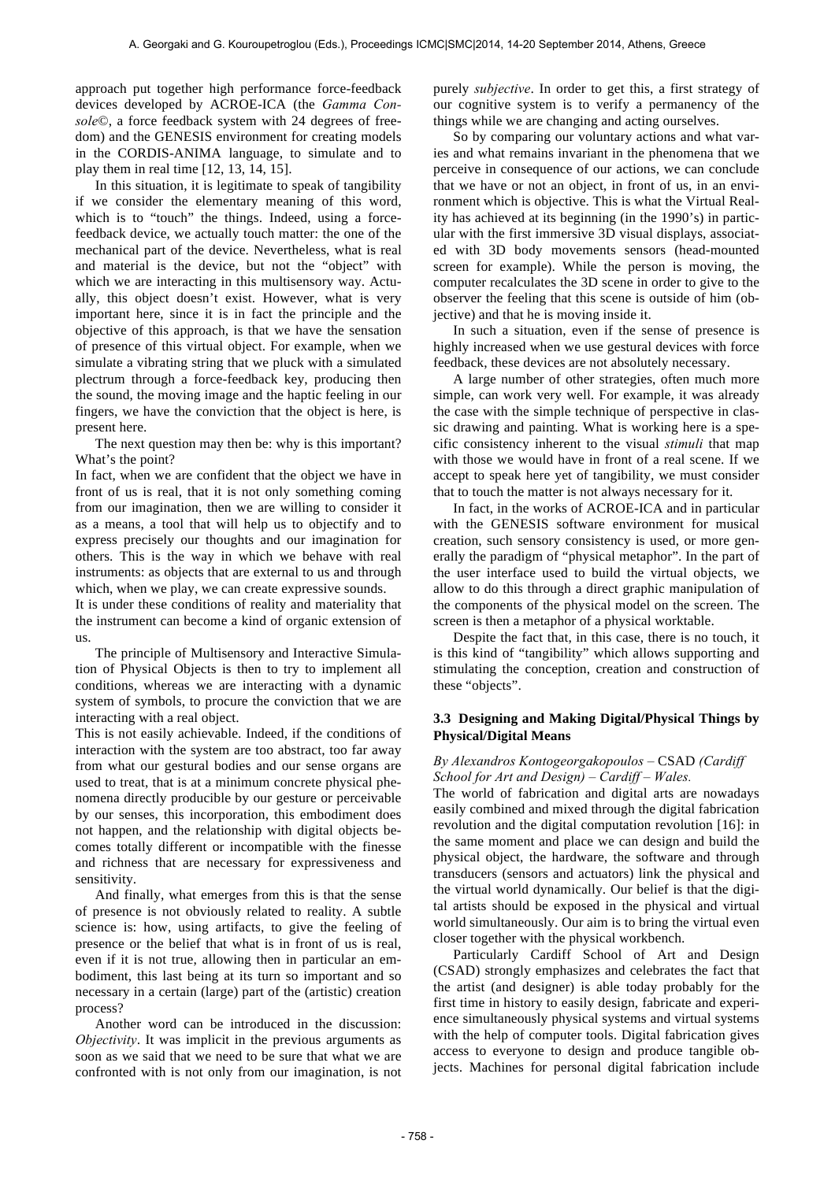approach put together high performance force-feedback devices developed by ACROE-ICA (the *Gamma Console*©, a force feedback system with 24 degrees of freedom) and the GENESIS environment for creating models in the CORDIS-ANIMA language, to simulate and to play them in real time [12, 13, 14, 15].

In this situation, it is legitimate to speak of tangibility if we consider the elementary meaning of this word, which is to "touch" the things. Indeed, using a forcefeedback device, we actually touch matter: the one of the mechanical part of the device. Nevertheless, what is real and material is the device, but not the "object" with which we are interacting in this multisensory way. Actually, this object doesn't exist. However, what is very important here, since it is in fact the principle and the objective of this approach, is that we have the sensation of presence of this virtual object. For example, when we simulate a vibrating string that we pluck with a simulated plectrum through a force-feedback key, producing then the sound, the moving image and the haptic feeling in our fingers, we have the conviction that the object is here, is present here.

The next question may then be: why is this important? What's the point?

In fact, when we are confident that the object we have in front of us is real, that it is not only something coming from our imagination, then we are willing to consider it as a means, a tool that will help us to objectify and to express precisely our thoughts and our imagination for others. This is the way in which we behave with real instruments: as objects that are external to us and through which, when we play, we can create expressive sounds.

It is under these conditions of reality and materiality that the instrument can become a kind of organic extension of us.

The principle of Multisensory and Interactive Simulation of Physical Objects is then to try to implement all conditions, whereas we are interacting with a dynamic system of symbols, to procure the conviction that we are interacting with a real object.

This is not easily achievable. Indeed, if the conditions of interaction with the system are too abstract, too far away from what our gestural bodies and our sense organs are used to treat, that is at a minimum concrete physical phenomena directly producible by our gesture or perceivable by our senses, this incorporation, this embodiment does not happen, and the relationship with digital objects becomes totally different or incompatible with the finesse and richness that are necessary for expressiveness and sensitivity.

And finally, what emerges from this is that the sense of presence is not obviously related to reality. A subtle science is: how, using artifacts, to give the feeling of presence or the belief that what is in front of us is real, even if it is not true, allowing then in particular an embodiment, this last being at its turn so important and so necessary in a certain (large) part of the (artistic) creation process?

Another word can be introduced in the discussion: *Objectivity*. It was implicit in the previous arguments as soon as we said that we need to be sure that what we are confronted with is not only from our imagination, is not purely *subjective*. In order to get this, a first strategy of our cognitive system is to verify a permanency of the things while we are changing and acting ourselves.

So by comparing our voluntary actions and what varies and what remains invariant in the phenomena that we perceive in consequence of our actions, we can conclude that we have or not an object, in front of us, in an environment which is objective. This is what the Virtual Reality has achieved at its beginning (in the 1990's) in particular with the first immersive 3D visual displays, associated with 3D body movements sensors (head-mounted screen for example). While the person is moving, the computer recalculates the 3D scene in order to give to the observer the feeling that this scene is outside of him (objective) and that he is moving inside it.

In such a situation, even if the sense of presence is highly increased when we use gestural devices with force feedback, these devices are not absolutely necessary.

A large number of other strategies, often much more simple, can work very well. For example, it was already the case with the simple technique of perspective in classic drawing and painting. What is working here is a specific consistency inherent to the visual *stimuli* that map with those we would have in front of a real scene. If we accept to speak here yet of tangibility, we must consider that to touch the matter is not always necessary for it.

In fact, in the works of ACROE-ICA and in particular with the GENESIS software environment for musical creation, such sensory consistency is used, or more generally the paradigm of "physical metaphor". In the part of the user interface used to build the virtual objects, we allow to do this through a direct graphic manipulation of the components of the physical model on the screen. The screen is then a metaphor of a physical worktable.

Despite the fact that, in this case, there is no touch, it is this kind of "tangibility" which allows supporting and stimulating the conception, creation and construction of these "objects".

## **3.3 Designing and Making Digital/Physical Things by Physical/Digital Means**

## *By Alexandros Kontogeorgakopoulos –* CSAD *(Cardiff School for Art and Design) – Cardiff – Wales.*

The world of fabrication and digital arts are nowadays easily combined and mixed through the digital fabrication revolution and the digital computation revolution [16]: in the same moment and place we can design and build the physical object, the hardware, the software and through transducers (sensors and actuators) link the physical and the virtual world dynamically. Our belief is that the digital artists should be exposed in the physical and virtual world simultaneously. Our aim is to bring the virtual even closer together with the physical workbench.

Particularly Cardiff School of Art and Design (CSAD) strongly emphasizes and celebrates the fact that the artist (and designer) is able today probably for the first time in history to easily design, fabricate and experience simultaneously physical systems and virtual systems with the help of computer tools. Digital fabrication gives access to everyone to design and produce tangible objects. Machines for personal digital fabrication include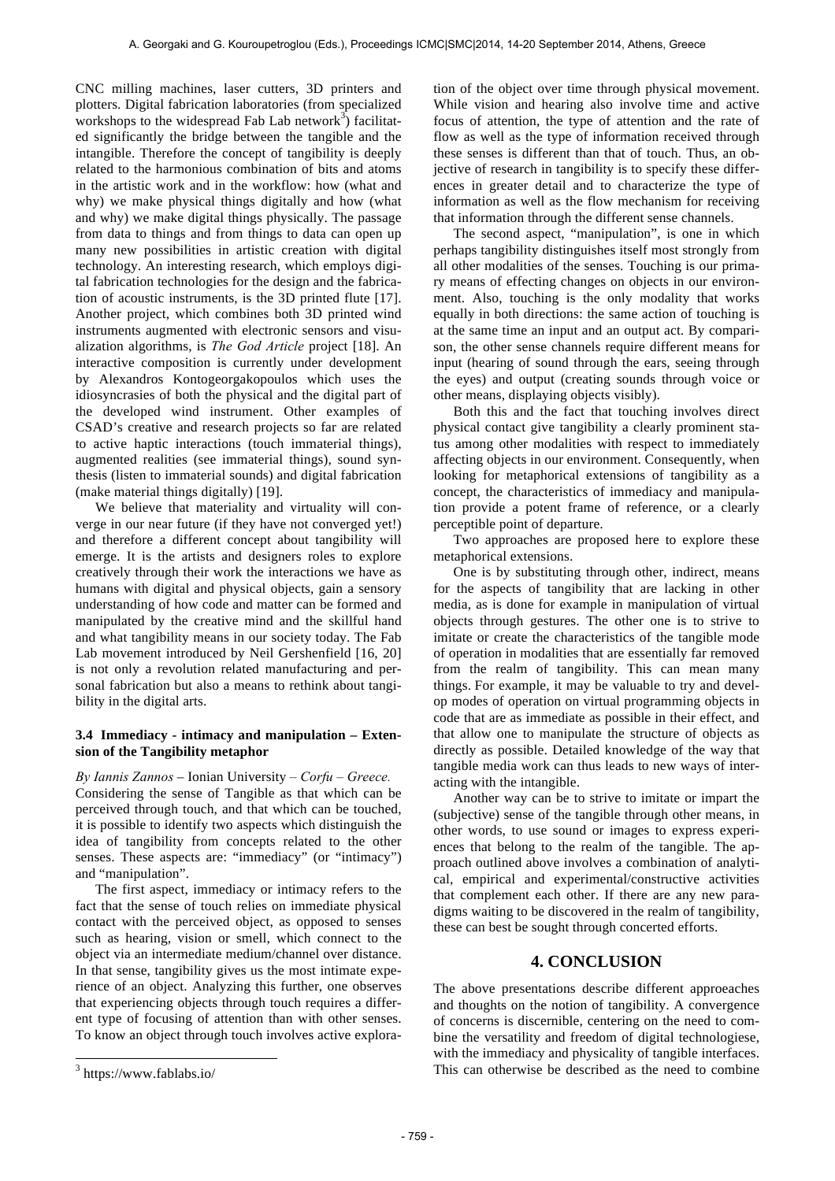CNC milling machines, laser cutters, 3D printers and plotters. Digital fabrication laboratories (from specialized workshops to the widespread Fab Lab network $\overline{3}$ ) facilitated significantly the bridge between the tangible and the intangible. Therefore the concept of tangibility is deeply related to the harmonious combination of bits and atoms in the artistic work and in the workflow: how (what and why) we make physical things digitally and how (what and why) we make digital things physically. The passage from data to things and from things to data can open up many new possibilities in artistic creation with digital technology. An interesting research, which employs digital fabrication technologies for the design and the fabrication of acoustic instruments, is the 3D printed flute [17]. Another project, which combines both 3D printed wind instruments augmented with electronic sensors and visualization algorithms, is *The God Article* project [18]. An interactive composition is currently under development by Alexandros Kontogeorgakopoulos which uses the idiosyncrasies of both the physical and the digital part of the developed wind instrument. Other examples of CSAD's creative and research projects so far are related to active haptic interactions (touch immaterial things), augmented realities (see immaterial things), sound synthesis (listen to immaterial sounds) and digital fabrication (make material things digitally) [19].

We believe that materiality and virtuality will converge in our near future (if they have not converged yet!) and therefore a different concept about tangibility will emerge. It is the artists and designers roles to explore creatively through their work the interactions we have as humans with digital and physical objects, gain a sensory understanding of how code and matter can be formed and manipulated by the creative mind and the skillful hand and what tangibility means in our society today. The Fab Lab movement introduced by Neil Gershenfield [16, 20] is not only a revolution related manufacturing and personal fabrication but also a means to rethink about tangibility in the digital arts.

## **3.4 Immediacy - intimacy and manipulation – Extension of the Tangibility metaphor**

*By Iannis Zannos* – Ionian University *– Corfu – Greece.* Considering the sense of Tangible as that which can be perceived through touch, and that which can be touched, it is possible to identify two aspects which distinguish the idea of tangibility from concepts related to the other senses. These aspects are: "immediacy" (or "intimacy") and "manipulation".

The first aspect, immediacy or intimacy refers to the fact that the sense of touch relies on immediate physical contact with the perceived object, as opposed to senses such as hearing, vision or smell, which connect to the object via an intermediate medium/channel over distance. In that sense, tangibility gives us the most intimate experience of an object. Analyzing this further, one observes that experiencing objects through touch requires a different type of focusing of attention than with other senses. To know an object through touch involves active explora-

 $\overline{a}$ 

tion of the object over time through physical movement. While vision and hearing also involve time and active focus of attention, the type of attention and the rate of flow as well as the type of information received through these senses is different than that of touch. Thus, an objective of research in tangibility is to specify these differences in greater detail and to characterize the type of information as well as the flow mechanism for receiving that information through the different sense channels.

The second aspect, "manipulation", is one in which perhaps tangibility distinguishes itself most strongly from all other modalities of the senses. Touching is our primary means of effecting changes on objects in our environment. Also, touching is the only modality that works equally in both directions: the same action of touching is at the same time an input and an output act. By comparison, the other sense channels require different means for input (hearing of sound through the ears, seeing through the eyes) and output (creating sounds through voice or other means, displaying objects visibly).

Both this and the fact that touching involves direct physical contact give tangibility a clearly prominent status among other modalities with respect to immediately affecting objects in our environment. Consequently, when looking for metaphorical extensions of tangibility as a concept, the characteristics of immediacy and manipulation provide a potent frame of reference, or a clearly perceptible point of departure.

Two approaches are proposed here to explore these metaphorical extensions.

One is by substituting through other, indirect, means for the aspects of tangibility that are lacking in other media, as is done for example in manipulation of virtual objects through gestures. The other one is to strive to imitate or create the characteristics of the tangible mode of operation in modalities that are essentially far removed from the realm of tangibility. This can mean many things. For example, it may be valuable to try and develop modes of operation on virtual programming objects in code that are as immediate as possible in their effect, and that allow one to manipulate the structure of objects as directly as possible. Detailed knowledge of the way that tangible media work can thus leads to new ways of interacting with the intangible.

Another way can be to strive to imitate or impart the (subjective) sense of the tangible through other means, in other words, to use sound or images to express experiences that belong to the realm of the tangible. The approach outlined above involves a combination of analytical, empirical and experimental/constructive activities that complement each other. If there are any new paradigms waiting to be discovered in the realm of tangibility, these can best be sought through concerted efforts.

## **4. CONCLUSION**

The above presentations describe different approeaches and thoughts on the notion of tangibility. A convergence of concerns is discernible, centering on the need to combine the versatility and freedom of digital technologiese, with the immediacy and physicality of tangible interfaces. This can otherwise be described as the need to combine

 $3$  https://www.fablabs.io/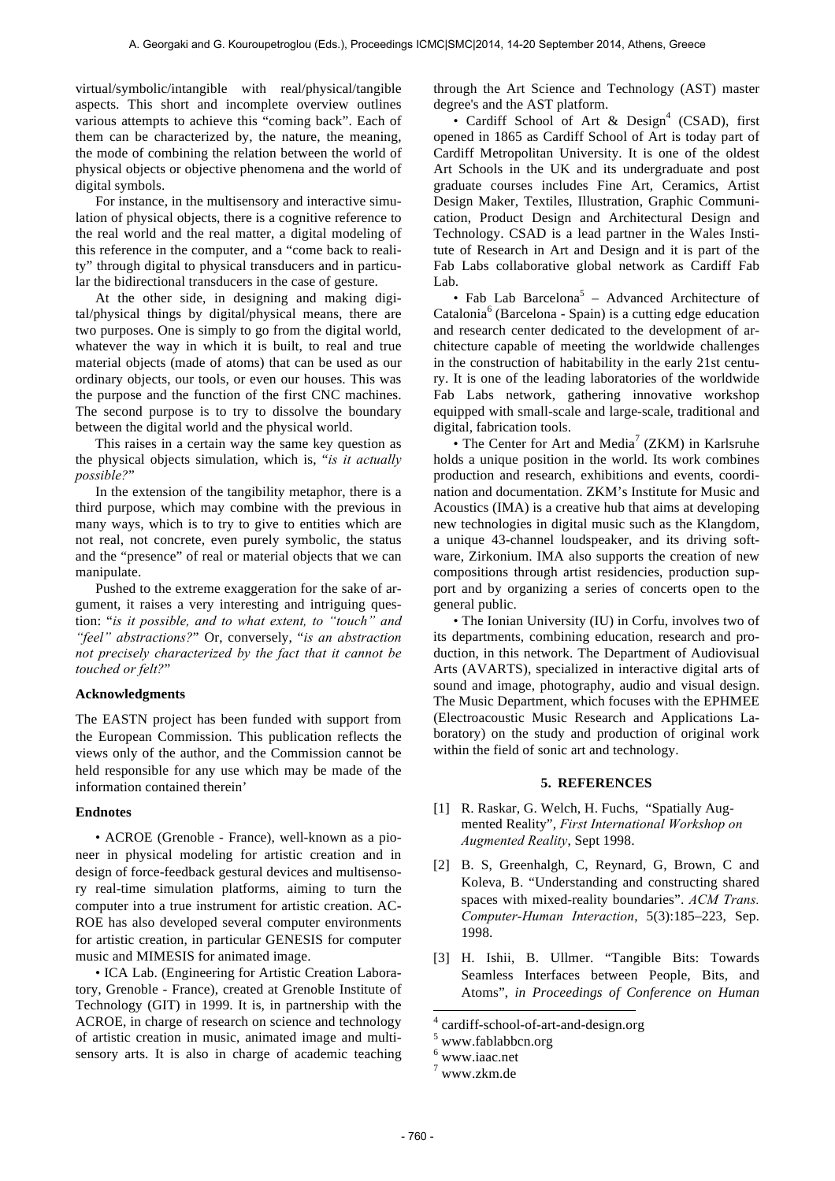virtual/symbolic/intangible with real/physical/tangible aspects. This short and incomplete overview outlines various attempts to achieve this "coming back". Each of them can be characterized by, the nature, the meaning, the mode of combining the relation between the world of physical objects or objective phenomena and the world of digital symbols.

For instance, in the multisensory and interactive simulation of physical objects, there is a cognitive reference to the real world and the real matter, a digital modeling of this reference in the computer, and a "come back to reality" through digital to physical transducers and in particular the bidirectional transducers in the case of gesture.

At the other side, in designing and making digital/physical things by digital/physical means, there are two purposes. One is simply to go from the digital world, whatever the way in which it is built, to real and true material objects (made of atoms) that can be used as our ordinary objects, our tools, or even our houses. This was the purpose and the function of the first CNC machines. The second purpose is to try to dissolve the boundary between the digital world and the physical world.

This raises in a certain way the same key question as the physical objects simulation, which is, "*is it actually possible?*"

In the extension of the tangibility metaphor, there is a third purpose, which may combine with the previous in many ways, which is to try to give to entities which are not real, not concrete, even purely symbolic, the status and the "presence" of real or material objects that we can manipulate.

Pushed to the extreme exaggeration for the sake of argument, it raises a very interesting and intriguing question: "*is it possible, and to what extent, to "touch" and "feel" abstractions?*" Or, conversely, "*is an abstraction not precisely characterized by the fact that it cannot be touched or felt?*"

#### **Acknowledgments**

The EASTN project has been funded with support from the European Commission. This publication reflects the views only of the author, and the Commission cannot be held responsible for any use which may be made of the information contained therein'

#### **Endnotes**

• ACROE (Grenoble - France), well-known as a pioneer in physical modeling for artistic creation and in design of force-feedback gestural devices and multisensory real-time simulation platforms, aiming to turn the computer into a true instrument for artistic creation. AC-ROE has also developed several computer environments for artistic creation, in particular GENESIS for computer music and MIMESIS for animated image.

• ICA Lab. (Engineering for Artistic Creation Laboratory, Grenoble - France), created at Grenoble Institute of Technology (GIT) in 1999. It is, in partnership with the ACROE, in charge of research on science and technology of artistic creation in music, animated image and multisensory arts. It is also in charge of academic teaching through the Art Science and Technology (AST) master degree's and the AST platform.

• Cardiff School of Art & Design<sup>4</sup> (CSAD), first opened in 1865 as Cardiff School of Art is today part of Cardiff Metropolitan University. It is one of the oldest Art Schools in the UK and its undergraduate and post graduate courses includes Fine Art, Ceramics, Artist Design Maker, Textiles, Illustration, Graphic Communication, Product Design and Architectural Design and Technology. CSAD is a lead partner in the Wales Institute of Research in Art and Design and it is part of the Fab Labs collaborative global network as Cardiff Fab Lab.

• Fab Lab Barcelona<sup>5</sup> – Advanced Architecture of Catalonia<sup>6</sup> (Barcelona - Spain) is a cutting edge education and research center dedicated to the development of architecture capable of meeting the worldwide challenges in the construction of habitability in the early 21st century. It is one of the leading laboratories of the worldwide Fab Labs network, gathering innovative workshop equipped with small-scale and large-scale, traditional and digital, fabrication tools.

• The Center for Art and Media<sup>7</sup> (ZKM) in Karlsruhe holds a unique position in the world. Its work combines production and research, exhibitions and events, coordination and documentation. ZKM's Institute for Music and Acoustics (IMA) is a creative hub that aims at developing new technologies in digital music such as the Klangdom, a unique 43-channel loudspeaker, and its driving software, Zirkonium. IMA also supports the creation of new compositions through artist residencies, production support and by organizing a series of concerts open to the general public.

• The Ionian University (IU) in Corfu, involves two of its departments, combining education, research and production, in this network. The Department of Audiovisual Arts (AVARTS), specialized in interactive digital arts of sound and image, photography, audio and visual design. The Music Department, which focuses with the EPHMEE (Electroacoustic Music Research and Applications Laboratory) on the study and production of original work within the field of sonic art and technology.

#### **5. REFERENCES**

- [1] R. Raskar, G. Welch, H. Fuchs, "Spatially Augmented Reality", *First International Workshop on Augmented Reality*, Sept 1998.
- [2] B. S, Greenhalgh, C, Reynard, G, Brown, C and Koleva, B. "Understanding and constructing shared spaces with mixed-reality boundaries". *ACM Trans. Computer-Human Interaction*, 5(3):185–223, Sep. 1998.
- [3] H. Ishii, B. Ullmer. "Tangible Bits: Towards Seamless Interfaces between People, Bits, and Atoms", *in Proceedings of Conference on Human*

l

 $\frac{4}{5}$  cardiff-school-of-art-and-design.org<br> $\frac{5}{5}$  www.fablabbcn.org

 $6$  www.iaac.net

 $7$  www.zkm.de